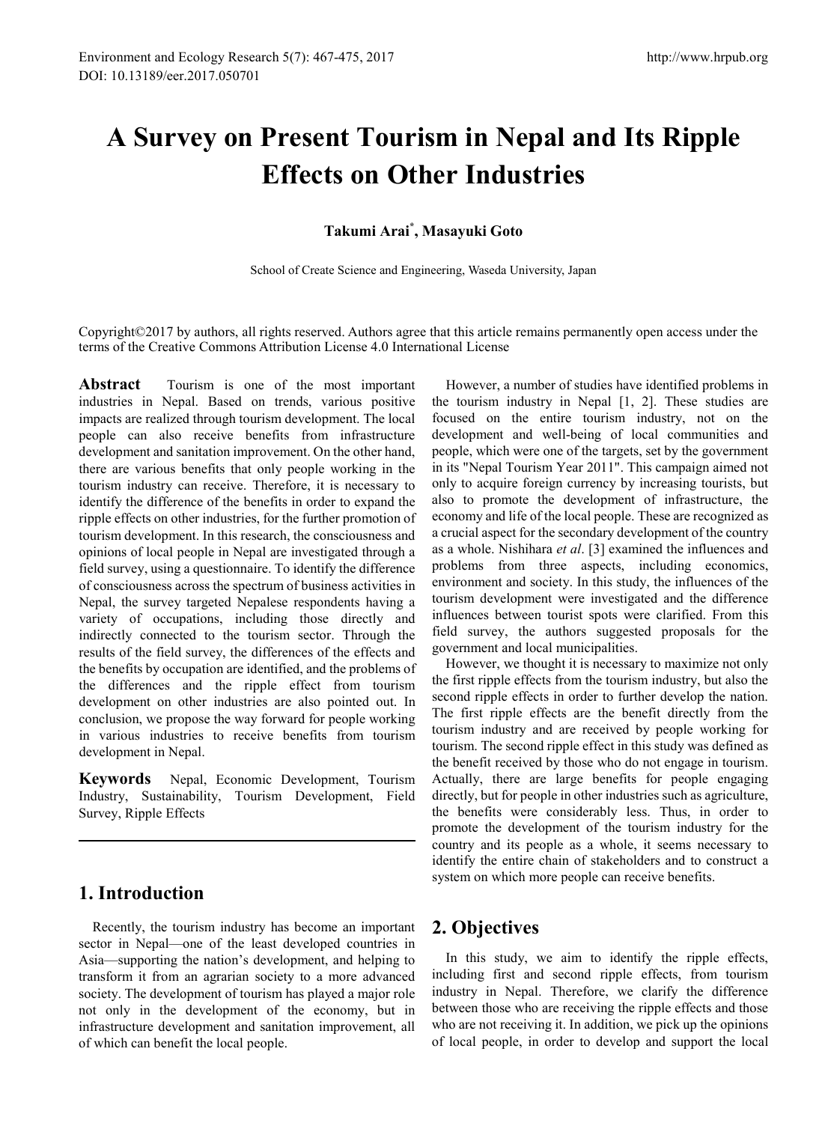# **A Survey on Present Tourism in Nepal and Its Ripple Effects on Other Industries**

### **Takumi Arai\* , Masayuki Goto**

School of Create Science and Engineering, Waseda University, Japan

Copyright©2017 by authors, all rights reserved. Authors agree that this article remains permanently open access under the terms of the Creative Commons Attribution License 4.0 International License

**Abstract** Tourism is one of the most important industries in Nepal. Based on trends, various positive impacts are realized through tourism development. The local people can also receive benefits from infrastructure development and sanitation improvement. On the other hand, there are various benefits that only people working in the tourism industry can receive. Therefore, it is necessary to identify the difference of the benefits in order to expand the ripple effects on other industries, for the further promotion of tourism development. In this research, the consciousness and opinions of local people in Nepal are investigated through a field survey, using a questionnaire. To identify the difference of consciousness across the spectrum of business activities in Nepal, the survey targeted Nepalese respondents having a variety of occupations, including those directly and indirectly connected to the tourism sector. Through the results of the field survey, the differences of the effects and the benefits by occupation are identified, and the problems of the differences and the ripple effect from tourism development on other industries are also pointed out. In conclusion, we propose the way forward for people working in various industries to receive benefits from tourism development in Nepal.

**Keywords** Nepal, Economic Development, Tourism Industry, Sustainability, Tourism Development, Field Survey, Ripple Effects

# **1. Introduction**

Recently, the tourism industry has become an important sector in Nepal—one of the least developed countries in Asia—supporting the nation's development, and helping to transform it from an agrarian society to a more advanced society. The development of tourism has played a major role not only in the development of the economy, but in infrastructure development and sanitation improvement, all of which can benefit the local people.

However, a number of studies have identified problems in the tourism industry in Nepal [1, 2]. These studies are focused on the entire tourism industry, not on the development and well-being of local communities and people, which were one of the targets, set by the government in its "Nepal Tourism Year 2011". This campaign aimed not only to acquire foreign currency by increasing tourists, but also to promote the development of infrastructure, the economy and life of the local people. These are recognized as a crucial aspect for the secondary development of the country as a whole. Nishihara *et al*. [3] examined the influences and problems from three aspects, including economics, environment and society. In this study, the influences of the tourism development were investigated and the difference influences between tourist spots were clarified. From this field survey, the authors suggested proposals for the government and local municipalities.

However, we thought it is necessary to maximize not only the first ripple effects from the tourism industry, but also the second ripple effects in order to further develop the nation. The first ripple effects are the benefit directly from the tourism industry and are received by people working for tourism. The second ripple effect in this study was defined as the benefit received by those who do not engage in tourism. Actually, there are large benefits for people engaging directly, but for people in other industries such as agriculture, the benefits were considerably less. Thus, in order to promote the development of the tourism industry for the country and its people as a whole, it seems necessary to identify the entire chain of stakeholders and to construct a system on which more people can receive benefits.

# **2. Objectives**

In this study, we aim to identify the ripple effects, including first and second ripple effects, from tourism industry in Nepal. Therefore, we clarify the difference between those who are receiving the ripple effects and those who are not receiving it. In addition, we pick up the opinions of local people, in order to develop and support the local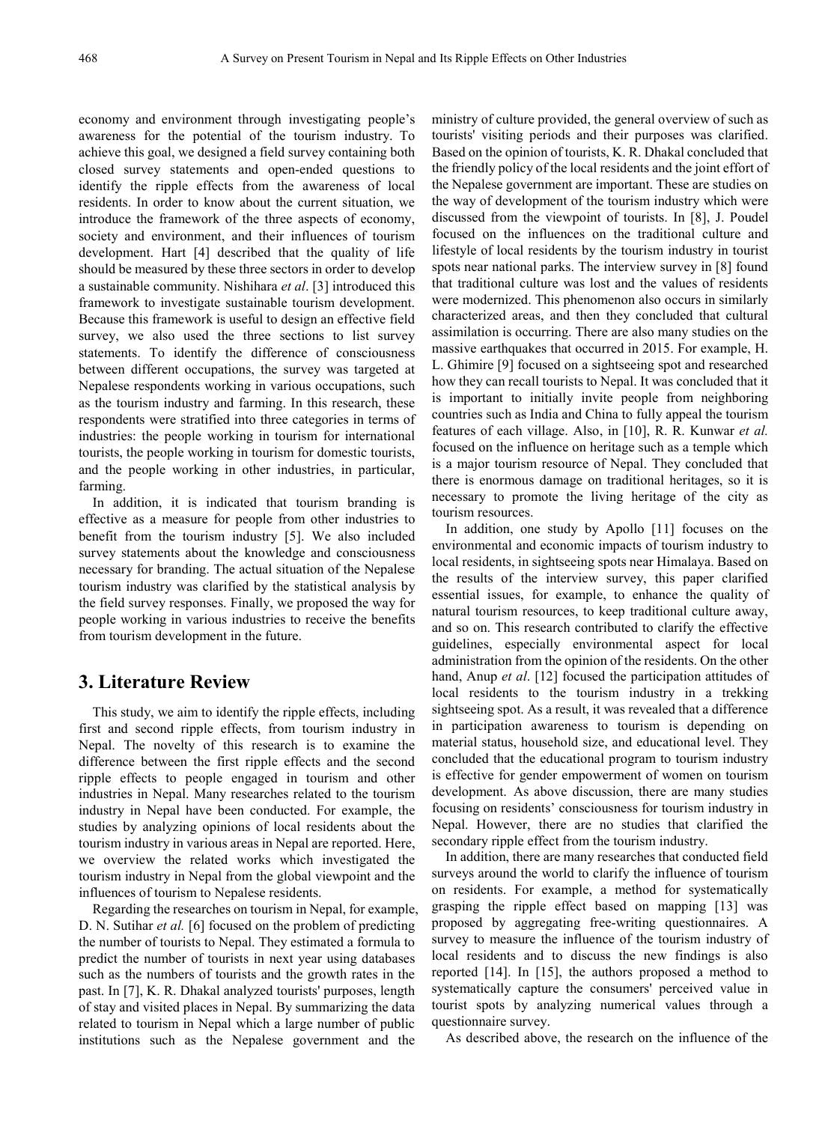economy and environment through investigating people's awareness for the potential of the tourism industry. To achieve this goal, we designed a field survey containing both closed survey statements and open-ended questions to identify the ripple effects from the awareness of local residents. In order to know about the current situation, we introduce the framework of the three aspects of economy, society and environment, and their influences of tourism development. Hart [4] described that the quality of life should be measured by these three sectors in order to develop a sustainable community. Nishihara *et al*. [3] introduced this framework to investigate sustainable tourism development. Because this framework is useful to design an effective field survey, we also used the three sections to list survey statements. To identify the difference of consciousness between different occupations, the survey was targeted at Nepalese respondents working in various occupations, such as the tourism industry and farming. In this research, these respondents were stratified into three categories in terms of industries: the people working in tourism for international tourists, the people working in tourism for domestic tourists, and the people working in other industries, in particular, farming.

In addition, it is indicated that tourism branding is effective as a measure for people from other industries to benefit from the tourism industry [5]. We also included survey statements about the knowledge and consciousness necessary for branding. The actual situation of the Nepalese tourism industry was clarified by the statistical analysis by the field survey responses. Finally, we proposed the way for people working in various industries to receive the benefits from tourism development in the future.

# **3. Literature Review**

This study, we aim to identify the ripple effects, including first and second ripple effects, from tourism industry in Nepal. The novelty of this research is to examine the difference between the first ripple effects and the second ripple effects to people engaged in tourism and other industries in Nepal. Many researches related to the tourism industry in Nepal have been conducted. For example, the studies by analyzing opinions of local residents about the tourism industry in various areas in Nepal are reported. Here, we overview the related works which investigated the tourism industry in Nepal from the global viewpoint and the influences of tourism to Nepalese residents.

Regarding the researches on tourism in Nepal, for example, D. N. Sutihar *et al.* [6] focused on the problem of predicting the number of tourists to Nepal. They estimated a formula to predict the number of tourists in next year using databases such as the numbers of tourists and the growth rates in the past. In [7], K. R. Dhakal analyzed tourists' purposes, length of stay and visited places in Nepal. By summarizing the data related to tourism in Nepal which a large number of public institutions such as the Nepalese government and the

ministry of culture provided, the general overview of such as tourists' visiting periods and their purposes was clarified. Based on the opinion of tourists, K. R. Dhakal concluded that the friendly policy of the local residents and the joint effort of the Nepalese government are important. These are studies on the way of development of the tourism industry which were discussed from the viewpoint of tourists. In [8], J. Poudel focused on the influences on the traditional culture and lifestyle of local residents by the tourism industry in tourist spots near national parks. The interview survey in [8] found that traditional culture was lost and the values of residents were modernized. This phenomenon also occurs in similarly characterized areas, and then they concluded that cultural assimilation is occurring. There are also many studies on the massive earthquakes that occurred in 2015. For example, H. L. Ghimire [9] focused on a sightseeing spot and researched how they can recall tourists to Nepal. It was concluded that it is important to initially invite people from neighboring countries such as India and China to fully appeal the tourism features of each village. Also, in [10], R. R. Kunwar *et al.* focused on the influence on heritage such as a temple which is a major tourism resource of Nepal. They concluded that there is enormous damage on traditional heritages, so it is necessary to promote the living heritage of the city as tourism resources.

In addition, one study by Apollo [11] focuses on the environmental and economic impacts of tourism industry to local residents, in sightseeing spots near Himalaya. Based on the results of the interview survey, this paper clarified essential issues, for example, to enhance the quality of natural tourism resources, to keep traditional culture away, and so on. This research contributed to clarify the effective guidelines, especially environmental aspect for local administration from the opinion of the residents. On the other hand, Anup *et al*. [12] focused the participation attitudes of local residents to the tourism industry in a trekking sightseeing spot. As a result, it was revealed that a difference in participation awareness to tourism is depending on material status, household size, and educational level. They concluded that the educational program to tourism industry is effective for gender empowerment of women on tourism development. As above discussion, there are many studies focusing on residents' consciousness for tourism industry in Nepal. However, there are no studies that clarified the secondary ripple effect from the tourism industry.

In addition, there are many researches that conducted field surveys around the world to clarify the influence of tourism on residents. For example, a method for systematically grasping the ripple effect based on mapping [13] was proposed by aggregating free-writing questionnaires. A survey to measure the influence of the tourism industry of local residents and to discuss the new findings is also reported [14]. In [15], the authors proposed a method to systematically capture the consumers' perceived value in tourist spots by analyzing numerical values through a questionnaire survey.

As described above, the research on the influence of the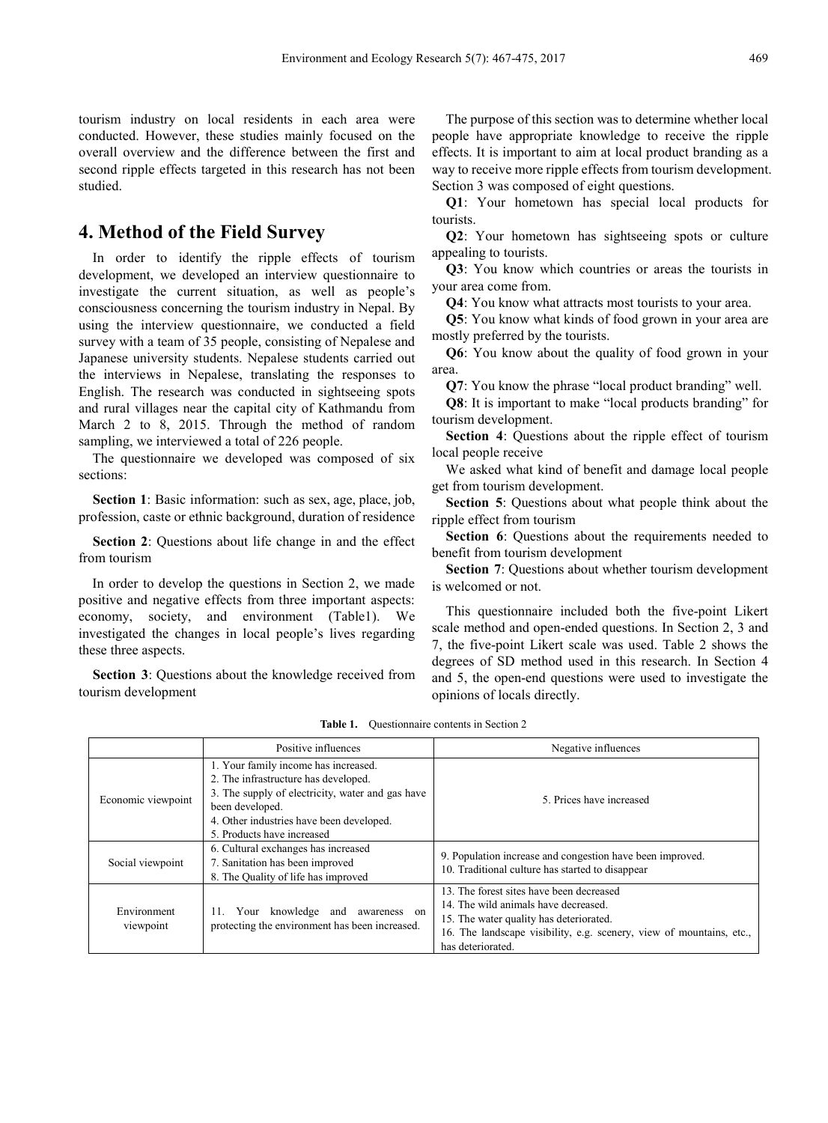tourism industry on local residents in each area were conducted. However, these studies mainly focused on the overall overview and the difference between the first and second ripple effects targeted in this research has not been studied.

### **4. Method of the Field Survey**

In order to identify the ripple effects of tourism development, we developed an interview questionnaire to investigate the current situation, as well as people's consciousness concerning the tourism industry in Nepal. By using the interview questionnaire, we conducted a field survey with a team of 35 people, consisting of Nepalese and Japanese university students. Nepalese students carried out the interviews in Nepalese, translating the responses to English. The research was conducted in sightseeing spots and rural villages near the capital city of Kathmandu from March 2 to 8, 2015. Through the method of random sampling, we interviewed a total of 226 people.

The questionnaire we developed was composed of six sections:

**Section 1**: Basic information: such as sex, age, place, job, profession, caste or ethnic background, duration of residence

**Section 2**: Questions about life change in and the effect from tourism

In order to develop the questions in Section 2, we made positive and negative effects from three important aspects: economy, society, and environment (Table1). We investigated the changes in local people's lives regarding these three aspects.

**Section 3**: Questions about the knowledge received from tourism development

The purpose of this section was to determine whether local people have appropriate knowledge to receive the ripple effects. It is important to aim at local product branding as a way to receive more ripple effects from tourism development. Section 3 was composed of eight questions.

**Q1**: Your hometown has special local products for tourists.

**Q2**: Your hometown has sightseeing spots or culture appealing to tourists.

**Q3**: You know which countries or areas the tourists in your area come from.

**Q4**: You know what attracts most tourists to your area.

**Q5**: You know what kinds of food grown in your area are mostly preferred by the tourists.

**Q6**: You know about the quality of food grown in your area.

**Q7**: You know the phrase "local product branding" well.

**Q8**: It is important to make "local products branding" for tourism development.

**Section 4**: Questions about the ripple effect of tourism local people receive

We asked what kind of benefit and damage local people get from tourism development.

**Section 5**: Questions about what people think about the ripple effect from tourism

**Section 6**: Questions about the requirements needed to benefit from tourism development

**Section 7:** Ouestions about whether tourism development is welcomed or not.

This questionnaire included both the five-point Likert scale method and open-ended questions. In Section 2, 3 and 7, the five-point Likert scale was used. Table 2 shows the degrees of SD method used in this research. In Section 4 and 5, the open-end questions were used to investigate the opinions of locals directly.

|                          | Positive influences                                                                                                                                                                                                           | Negative influences                                                                                                                                                                                                      |
|--------------------------|-------------------------------------------------------------------------------------------------------------------------------------------------------------------------------------------------------------------------------|--------------------------------------------------------------------------------------------------------------------------------------------------------------------------------------------------------------------------|
| Economic viewpoint       | 1. Your family income has increased.<br>2. The infrastructure has developed.<br>3. The supply of electricity, water and gas have<br>been developed.<br>4. Other industries have been developed.<br>5. Products have increased | 5. Prices have increased                                                                                                                                                                                                 |
| Social viewpoint         | 6. Cultural exchanges has increased<br>7. Sanitation has been improved<br>8. The Quality of life has improved                                                                                                                 | 9. Population increase and congestion have been improved.<br>10. Traditional culture has started to disappear                                                                                                            |
| Environment<br>viewpoint | Your knowledge and<br>11.<br>awareness on<br>protecting the environment has been increased.                                                                                                                                   | 13. The forest sites have been decreased<br>14. The wild animals have decreased.<br>15. The water quality has deteriorated.<br>16. The landscape visibility, e.g. scenery, view of mountains, etc.,<br>has deteriorated. |

**Table 1.** Questionnaire contents in Section 2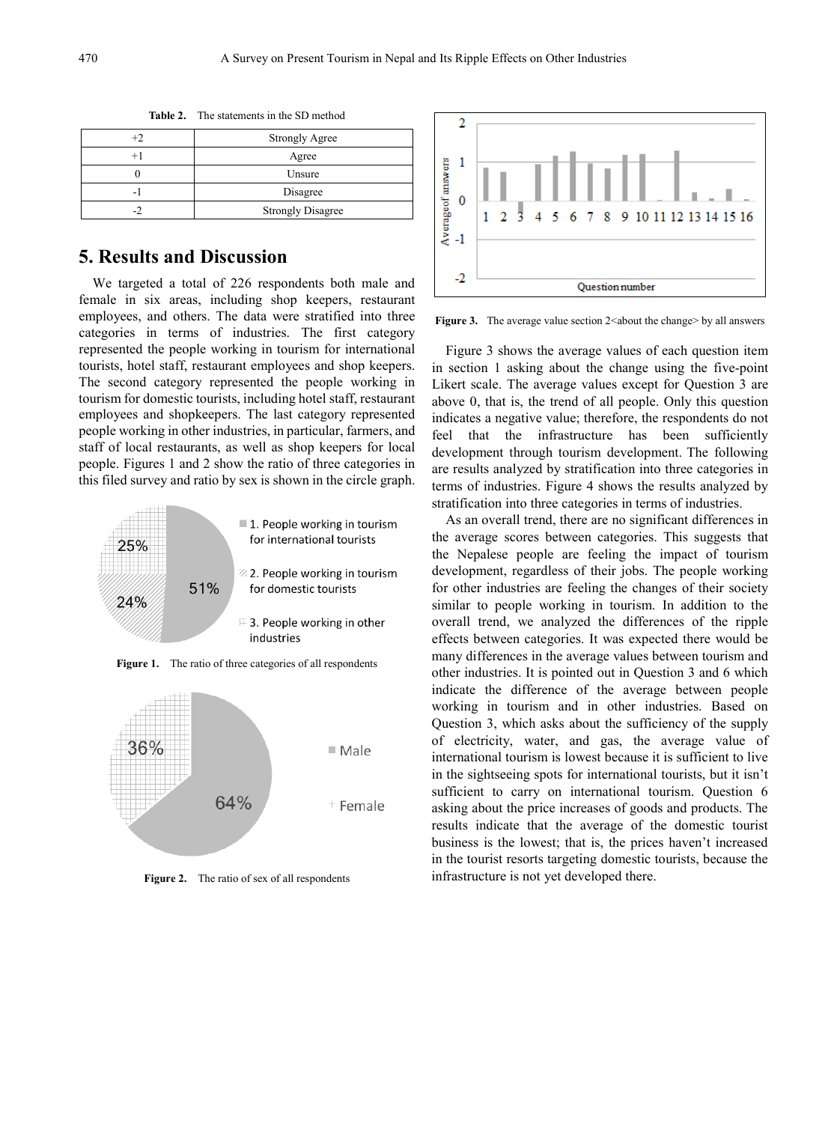|   | <b>Strongly Agree</b>    |
|---|--------------------------|
|   | Agree                    |
|   | Unsure                   |
| - | Disagree                 |
|   | <b>Strongly Disagree</b> |

**Table 2.** The statements in the SD method

# **5. Results and Discussion**

We targeted a total of 226 respondents both male and female in six areas, including shop keepers, restaurant employees, and others. The data were stratified into three categories in terms of industries. The first category represented the people working in tourism for international tourists, hotel staff, restaurant employees and shop keepers. The second category represented the people working in tourism for domestic tourists, including hotel staff, restaurant employees and shopkeepers. The last category represented people working in other industries, in particular, farmers, and staff of local restaurants, as well as shop keepers for local people. Figures 1 and 2 show the ratio of three categories in this filed survey and ratio by sex is shown in the circle graph.



**Figure 1.** The ratio of three categories of all respondents



**Figure 2.** The ratio of sex of all respondents



**Figure 3.** The average value section 2<about the change> by all answers

Figure 3 shows the average values of each question item in section 1 asking about the change using the five-point Likert scale. The average values except for Question 3 are above 0, that is, the trend of all people. Only this question indicates a negative value; therefore, the respondents do not feel that the infrastructure has been sufficiently development through tourism development. The following are results analyzed by stratification into three categories in terms of industries. Figure 4 shows the results analyzed by stratification into three categories in terms of industries.

As an overall trend, there are no significant differences in the average scores between categories. This suggests that the Nepalese people are feeling the impact of tourism development, regardless of their jobs. The people working for other industries are feeling the changes of their society similar to people working in tourism. In addition to the overall trend, we analyzed the differences of the ripple effects between categories. It was expected there would be many differences in the average values between tourism and other industries. It is pointed out in Question 3 and 6 which indicate the difference of the average between people working in tourism and in other industries. Based on Question 3, which asks about the sufficiency of the supply of electricity, water, and gas, the average value of international tourism is lowest because it is sufficient to live in the sightseeing spots for international tourists, but it isn't sufficient to carry on international tourism. Question 6 asking about the price increases of goods and products. The results indicate that the average of the domestic tourist business is the lowest; that is, the prices haven't increased in the tourist resorts targeting domestic tourists, because the infrastructure is not yet developed there.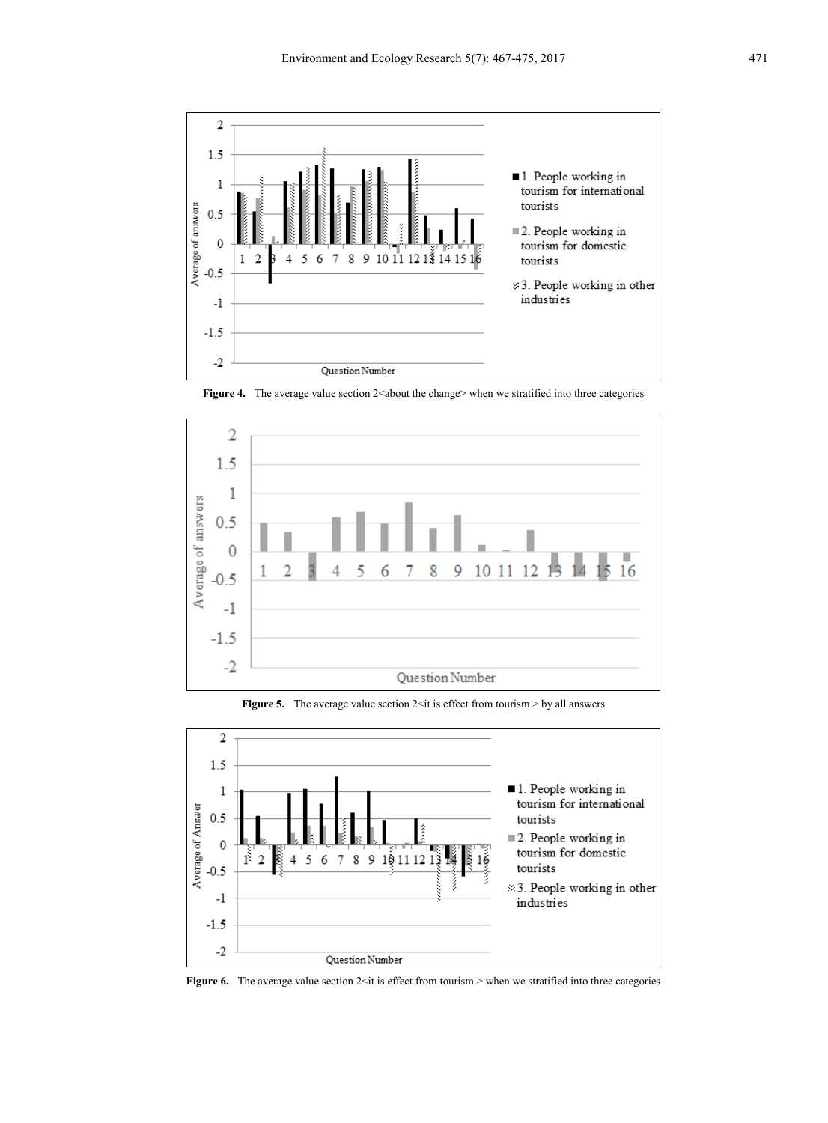

**Figure 4.** The average value section 2<about the change> when we stratified into three categories



**Figure 5.** The average value section 2<it is effect from tourism > by all answers



**Figure 6.** The average value section 2<it is effect from tourism > when we stratified into three categories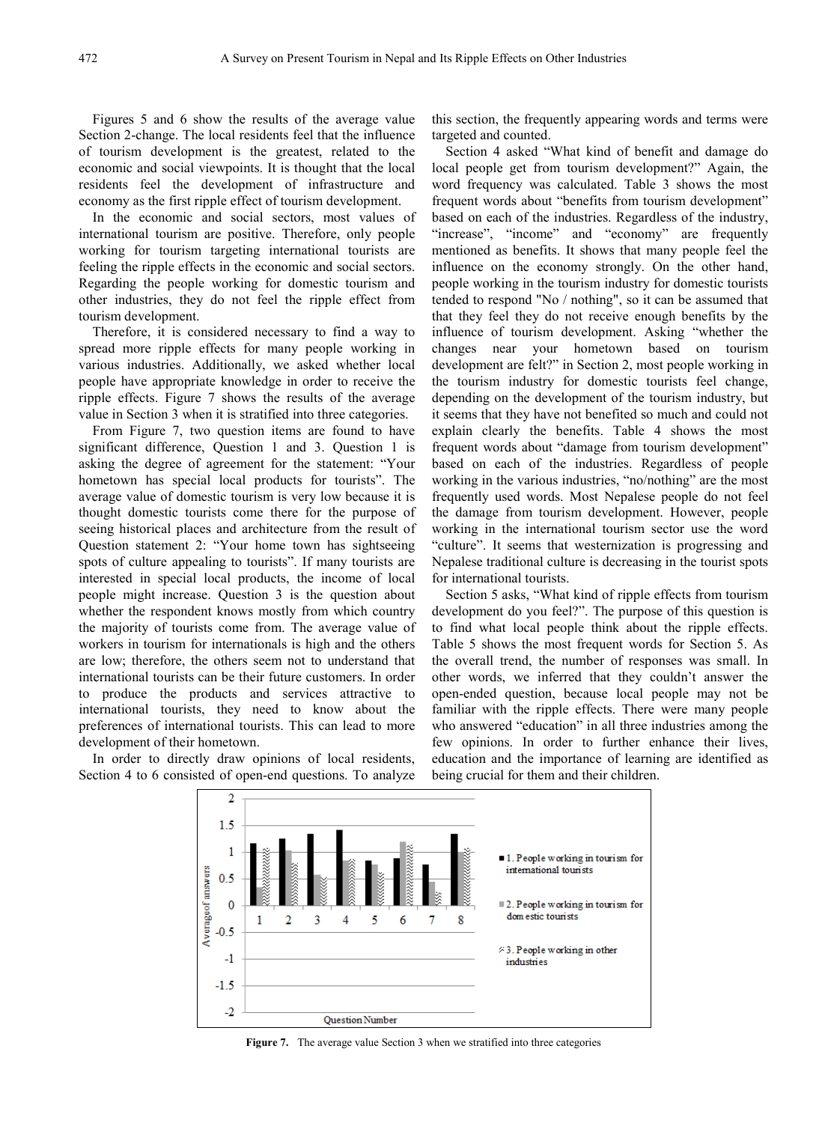Figures 5 and 6 show the results of the average value Section 2-change. The local residents feel that the influence of tourism development is the greatest, related to the economic and social viewpoints. It is thought that the local residents feel the development of infrastructure and economy as the first ripple effect of tourism development.

In the economic and social sectors, most values of international tourism are positive. Therefore, only people working for tourism targeting international tourists are feeling the ripple effects in the economic and social sectors. Regarding the people working for domestic tourism and other industries, they do not feel the ripple effect from tourism development.

Therefore, it is considered necessary to find a way to spread more ripple effects for many people working in various industries. Additionally, we asked whether local people have appropriate knowledge in order to receive the ripple effects. Figure 7 shows the results of the average value in Section 3 when it is stratified into three categories.

From Figure 7, two question items are found to have significant difference, Question 1 and 3. Question 1 is asking the degree of agreement for the statement: "Your hometown has special local products for tourists". The average value of domestic tourism is very low because it is thought domestic tourists come there for the purpose of seeing historical places and architecture from the result of Question statement 2: "Your home town has sightseeing spots of culture appealing to tourists". If many tourists are interested in special local products, the income of local people might increase. Question 3 is the question about whether the respondent knows mostly from which country the majority of tourists come from. The average value of workers in tourism for internationals is high and the others are low; therefore, the others seem not to understand that international tourists can be their future customers. In order to produce the products and services attractive to international tourists, they need to know about the preferences of international tourists. This can lead to more development of their hometown.

In order to directly draw opinions of local residents, Section 4 to 6 consisted of open-end questions. To analyze this section, the frequently appearing words and terms were targeted and counted.

Section 4 asked "What kind of benefit and damage do local people get from tourism development?" Again, the word frequency was calculated. Table 3 shows the most frequent words about "benefits from tourism development" based on each of the industries. Regardless of the industry, "increase", "income" and "economy" are frequently mentioned as benefits. It shows that many people feel the influence on the economy strongly. On the other hand, people working in the tourism industry for domestic tourists tended to respond "No / nothing", so it can be assumed that that they feel they do not receive enough benefits by the influence of tourism development. Asking "whether the changes near your hometown based on tourism development are felt?" in Section 2, most people working in the tourism industry for domestic tourists feel change, depending on the development of the tourism industry, but it seems that they have not benefited so much and could not explain clearly the benefits. Table 4 shows the most frequent words about "damage from tourism development" based on each of the industries. Regardless of people working in the various industries, "no/nothing" are the most frequently used words. Most Nepalese people do not feel the damage from tourism development. However, people working in the international tourism sector use the word "culture". It seems that westernization is progressing and Nepalese traditional culture is decreasing in the tourist spots for international tourists.

Section 5 asks, "What kind of ripple effects from tourism development do you feel?". The purpose of this question is to find what local people think about the ripple effects. Table 5 shows the most frequent words for Section 5. As the overall trend, the number of responses was small. In other words, we inferred that they couldn't answer the open-ended question, because local people may not be familiar with the ripple effects. There were many people who answered "education" in all three industries among the few opinions. In order to further enhance their lives, education and the importance of learning are identified as being crucial for them and their children.



**Figure 7.** The average value Section 3 when we stratified into three categories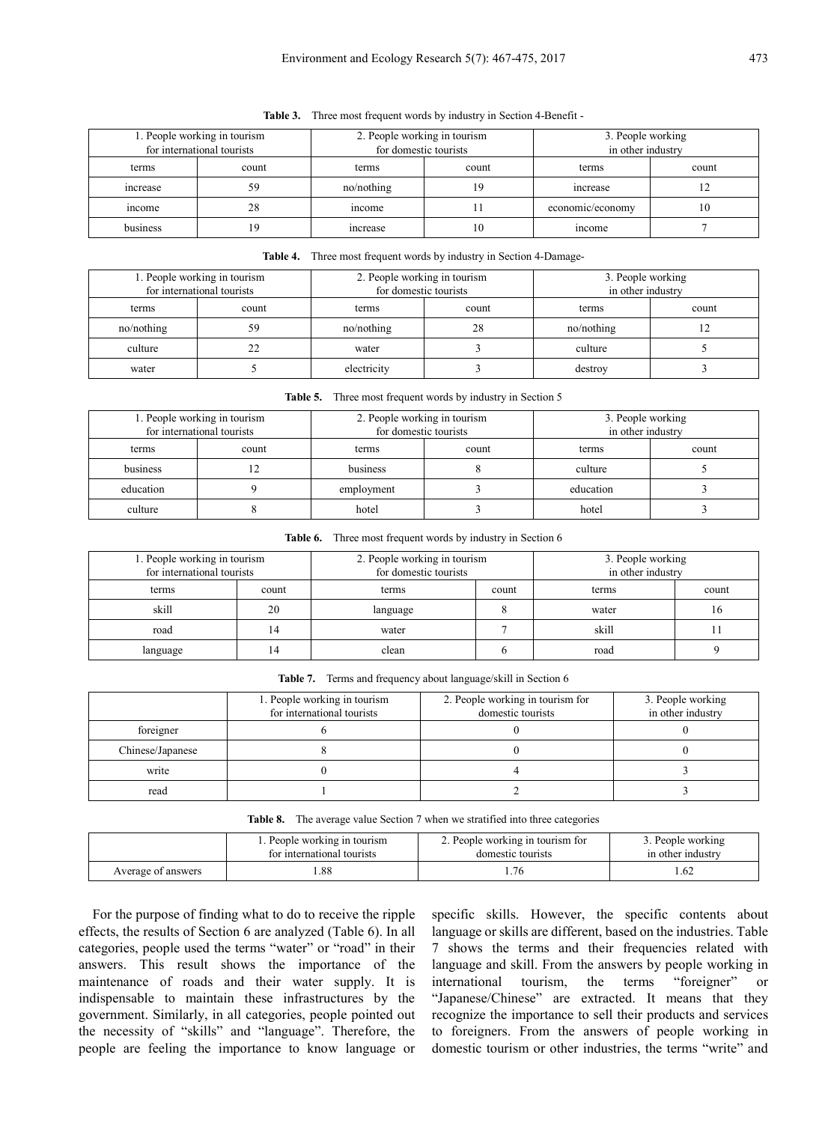| 1. People working in tourism<br>for international tourists |       | 2. People working in tourism<br>for domestic tourists |    | 3. People working<br>in other industry |       |
|------------------------------------------------------------|-------|-------------------------------------------------------|----|----------------------------------------|-------|
| terms                                                      | count | count<br>terms                                        |    | terms                                  | count |
| increase                                                   | 59    | no/nothing                                            | 19 | increase                               |       |
| income                                                     | 28    | mcome                                                 |    | economic/economy                       | 10    |
| business                                                   | 19    | increase                                              | 10 | income                                 |       |

**Table 3.** Three most frequent words by industry in Section 4-Benefit -

#### **Table 4.** Three most frequent words by industry in Section 4-Damage-

| 1. People working in tourism |       | 2. People working in tourism |    | 3. People working |       |
|------------------------------|-------|------------------------------|----|-------------------|-------|
| for international tourists   |       | for domestic tourists        |    | in other industry |       |
| terms                        | count | count<br>terms               |    | terms             | count |
| no/nothing                   | 59    | no/nothing                   | 28 | no/nothing        |       |
| culture                      | 22    | water                        |    | culture           |       |
| water                        |       | electricity                  |    | destroy           |       |

**Table 5.** Three most frequent words by industry in Section 5

| 1. People working in tourism<br>for international tourists |       | 2. People working in tourism<br>for domestic tourists |  | 3. People working<br>in other industry |       |
|------------------------------------------------------------|-------|-------------------------------------------------------|--|----------------------------------------|-------|
| terms                                                      | count | count<br>terms                                        |  | terms                                  | count |
| business                                                   |       | business                                              |  | culture                                |       |
| education                                                  |       | employment                                            |  | education                              |       |
| culture                                                    |       | hotel                                                 |  | hotel                                  |       |

**Table 6.** Three most frequent words by industry in Section 6

| 1. People working in tourism |       | 2. People working in tourism |  | 3. People working |       |
|------------------------------|-------|------------------------------|--|-------------------|-------|
| for international tourists   |       | for domestic tourists        |  | in other industry |       |
| terms                        | count | terms<br>count               |  | terms             | count |
| skill                        | 20    | language                     |  | water             | 16    |
| road                         | 14    | water                        |  | skill             |       |
| language                     | 14    | clean                        |  | road              |       |

**Table 7.** Terms and frequency about language/skill in Section 6

|                  | 1. People working in tourism<br>for international tourists | 2. People working in tourism for<br>domestic tourists | 3. People working<br>in other industry |
|------------------|------------------------------------------------------------|-------------------------------------------------------|----------------------------------------|
| foreigner        |                                                            |                                                       |                                        |
| Chinese/Japanese |                                                            |                                                       |                                        |
| write            |                                                            |                                                       |                                        |
| read             |                                                            |                                                       |                                        |

|  | Table 8. The average value Section 7 when we stratified into three categories |  |  |  |
|--|-------------------------------------------------------------------------------|--|--|--|
|--|-------------------------------------------------------------------------------|--|--|--|

| 1. People working in tourism |     | 2. People working in tourism for | 3. People working |
|------------------------------|-----|----------------------------------|-------------------|
| for international tourists   |     | domestic tourists                | in other industry |
| Average of answers           | .88 |                                  |                   |

For the purpose of finding what to do to receive the ripple effects, the results of Section 6 are analyzed (Table 6). In all categories, people used the terms "water" or "road" in their answers. This result shows the importance of the maintenance of roads and their water supply. It is indispensable to maintain these infrastructures by the government. Similarly, in all categories, people pointed out the necessity of "skills" and "language". Therefore, the people are feeling the importance to know language or specific skills. However, the specific contents about language or skills are different, based on the industries. Table 7 shows the terms and their frequencies related with language and skill. From the answers by people working in international tourism, the terms "foreigner" or "Japanese/Chinese" are extracted. It means that they recognize the importance to sell their products and services to foreigners. From the answers of people working in domestic tourism or other industries, the terms "write" and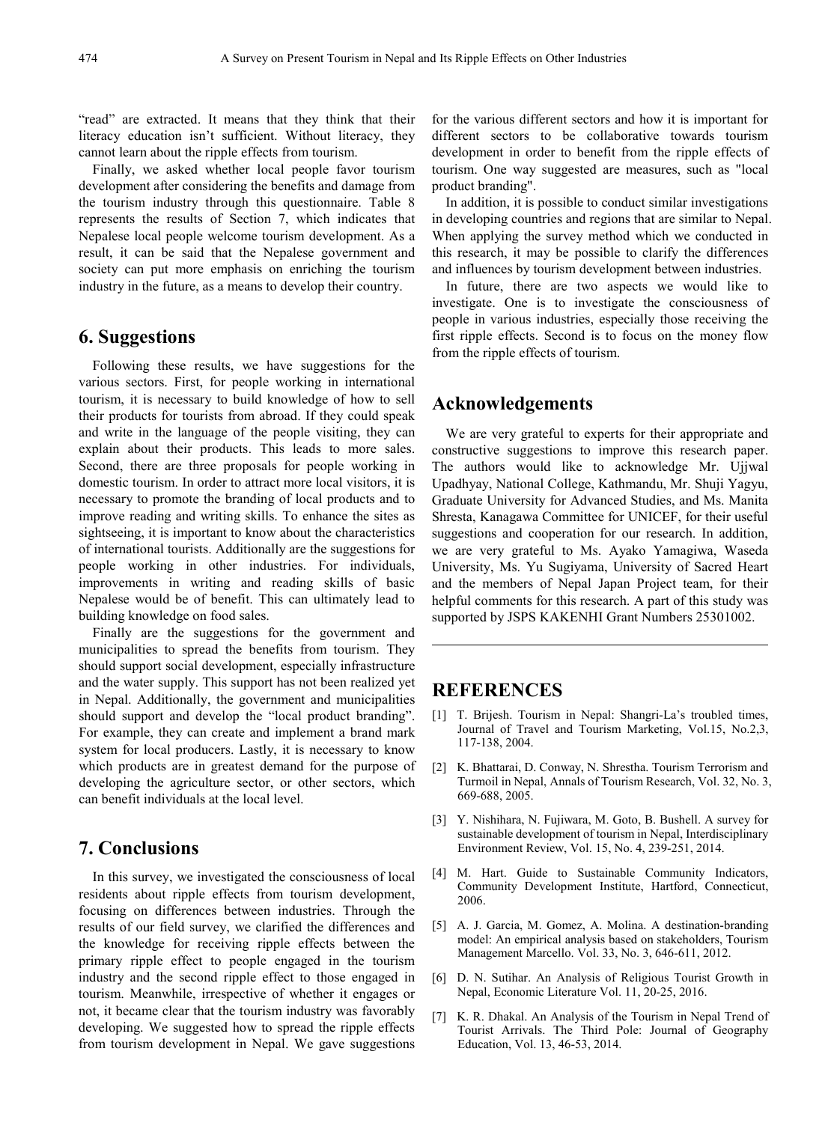"read" are extracted. It means that they think that their literacy education isn't sufficient. Without literacy, they cannot learn about the ripple effects from tourism.

Finally, we asked whether local people favor tourism development after considering the benefits and damage from the tourism industry through this questionnaire. Table 8 represents the results of Section 7, which indicates that Nepalese local people welcome tourism development. As a result, it can be said that the Nepalese government and society can put more emphasis on enriching the tourism industry in the future, as a means to develop their country.

#### **6. Suggestions**

Following these results, we have suggestions for the various sectors. First, for people working in international tourism, it is necessary to build knowledge of how to sell their products for tourists from abroad. If they could speak and write in the language of the people visiting, they can explain about their products. This leads to more sales. Second, there are three proposals for people working in domestic tourism. In order to attract more local visitors, it is necessary to promote the branding of local products and to improve reading and writing skills. To enhance the sites as sightseeing, it is important to know about the characteristics of international tourists. Additionally are the suggestions for people working in other industries. For individuals, improvements in writing and reading skills of basic Nepalese would be of benefit. This can ultimately lead to building knowledge on food sales.

Finally are the suggestions for the government and municipalities to spread the benefits from tourism. They should support social development, especially infrastructure and the water supply. This support has not been realized yet in Nepal. Additionally, the government and municipalities should support and develop the "local product branding". For example, they can create and implement a brand mark system for local producers. Lastly, it is necessary to know which products are in greatest demand for the purpose of developing the agriculture sector, or other sectors, which can benefit individuals at the local level.

# **7. Conclusions**

In this survey, we investigated the consciousness of local residents about ripple effects from tourism development, focusing on differences between industries. Through the results of our field survey, we clarified the differences and the knowledge for receiving ripple effects between the primary ripple effect to people engaged in the tourism industry and the second ripple effect to those engaged in tourism. Meanwhile, irrespective of whether it engages or not, it became clear that the tourism industry was favorably developing. We suggested how to spread the ripple effects from tourism development in Nepal. We gave suggestions

for the various different sectors and how it is important for different sectors to be collaborative towards tourism development in order to benefit from the ripple effects of tourism. One way suggested are measures, such as "local product branding".

In addition, it is possible to conduct similar investigations in developing countries and regions that are similar to Nepal. When applying the survey method which we conducted in this research, it may be possible to clarify the differences and influences by tourism development between industries.

In future, there are two aspects we would like to investigate. One is to investigate the consciousness of people in various industries, especially those receiving the first ripple effects. Second is to focus on the money flow from the ripple effects of tourism.

# **Acknowledgements**

We are very grateful to experts for their appropriate and constructive suggestions to improve this research paper. The authors would like to acknowledge Mr. Ujjwal Upadhyay, National College, Kathmandu, Mr. Shuji Yagyu, Graduate University for Advanced Studies, and Ms. Manita Shresta, Kanagawa Committee for UNICEF, for their useful suggestions and cooperation for our research. In addition, we are very grateful to Ms. Ayako Yamagiwa, Waseda University, Ms. Yu Sugiyama, University of Sacred Heart and the members of Nepal Japan Project team, for their helpful comments for this research. A part of this study was supported by JSPS KAKENHI Grant Numbers 25301002.

### **REFERENCES**

- [1] T. Brijesh. Tourism in Nepal: Shangri-La's troubled times, Journal of Travel and Tourism Marketing, Vol.15, No.2,3, 117-138, 2004.
- [2] K. Bhattarai, D. Conway, N. Shrestha. Tourism Terrorism and Turmoil in Nepal, Annals of Tourism Research, Vol. 32, No. 3, 669-688, 2005.
- [3] Y. Nishihara, N. Fujiwara, M. Goto, B. Bushell. A survey for sustainable development of tourism in Nepal, Interdisciplinary Environment Review, Vol. 15, No. 4, 239-251, 2014.
- [4] M. Hart. Guide to Sustainable Community Indicators, Community Development Institute, Hartford, Connecticut, 2006.
- [5] A. J. Garcia, M. Gomez, A. Molina. A destination-branding model: An empirical analysis based on stakeholders, Tourism Management Marcello. Vol. 33, No. 3, 646-611, 2012.
- [6] D. N. Sutihar. An Analysis of Religious Tourist Growth in Nepal, Economic Literature Vol. 11, 20-25, 2016.
- [7] K. R. Dhakal. An Analysis of the Tourism in Nepal Trend of Tourist Arrivals. The Third Pole: Journal of Geography Education, Vol. 13, 46-53, 2014.